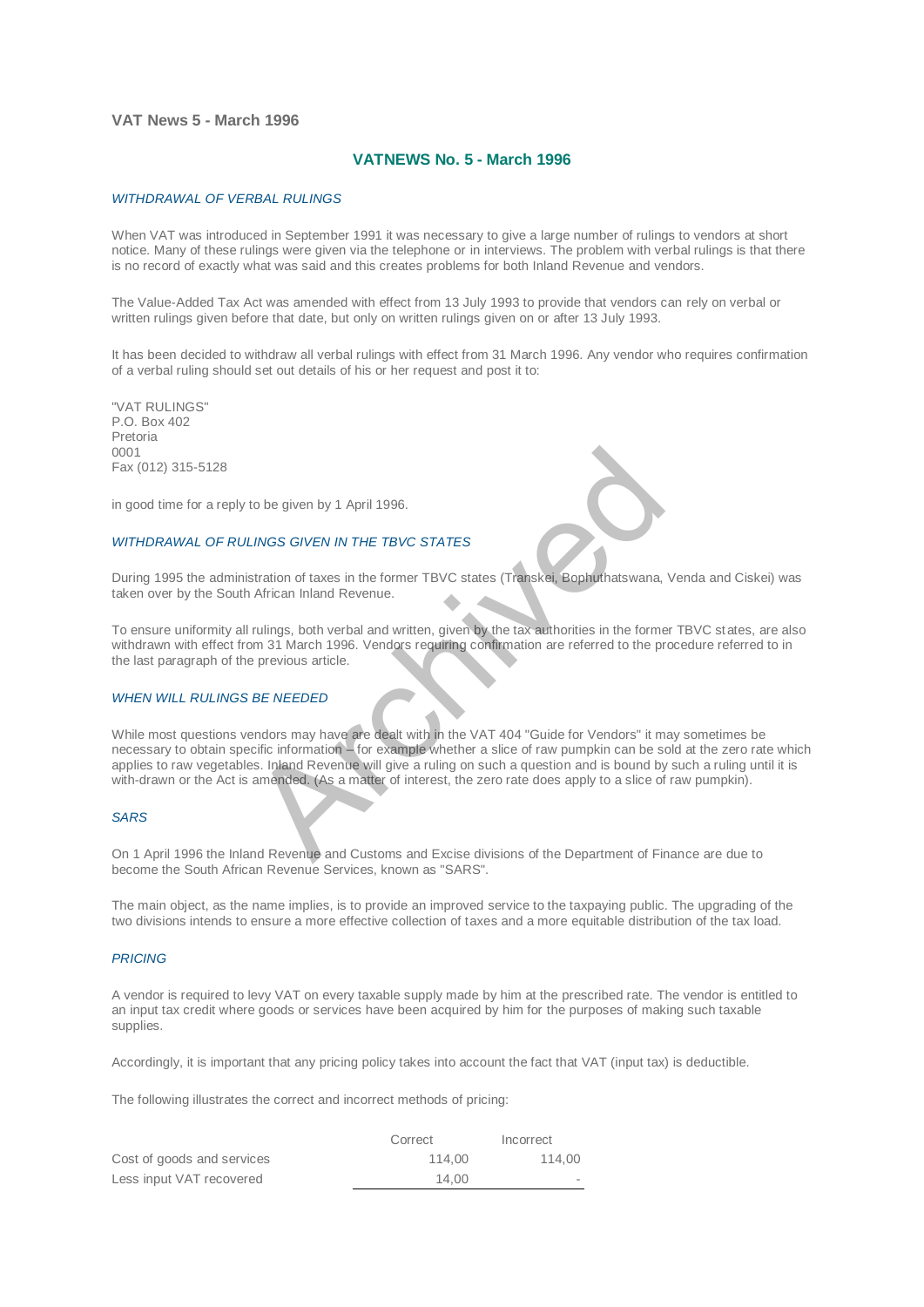## **VAT News 5 - March 1996**

# **VATNEWS No. 5 - March 1996**

### *WITHDRAWAL OF VERBAL RULINGS*

When VAT was introduced in September 1991 it was necessary to give a large number of rulings to vendors at short notice. Many of these rulings were given via the telephone or in interviews. The problem with verbal rulings is that there is no record of exactly what was said and this creates problems for both Inland Revenue and vendors.

The Value-Added Tax Act was amended with effect from 13 July 1993 to provide that vendors can rely on verbal or written rulings given before that date, but only on written rulings given on or after 13 July 1993.

It has been decided to withdraw all verbal rulings with effect from 31 March 1996. Any vendor who requires confirmation of a verbal ruling should set out details of his or her request and post it to:

"VAT RULINGS" P.O. Box 402 Pretoria 0001 Fax (012) 315-5128

in good time for a reply to be given by 1 April 1996.

## *WITHDRAWAL OF RULINGS GIVEN IN THE TBVC STATES*

During 1995 the administration of taxes in the former TBVC states (Transkei, Bophuthatswana, Venda and Ciskei) was taken over by the South African Inland Revenue.

To ensure uniformity all rulings, both verbal and written, given by the tax authorities in the former TBVC states, are also withdrawn with effect from 31 March 1996. Vendors requiring confirmation are referred to the procedure referred to in the last paragraph of the previous article.

#### *WHEN WILL RULINGS BE NEEDED*

While most questions vendors may have are dealt with in the VAT 404 "Guide for Vendors" it may sometimes be necessary to obtain specific information – for example whether a slice of raw pumpkin can be sold at the zero rate which applies to raw vegetables. Inland Revenue will give a ruling on such a question and is bound by such a ruling until it is with-drawn or the Act is amended. (As a matter of interest, the zero rate does apply to a slice of raw pumpkin). LINGS GIVEN IN THE TBVC STATES<br>
LINGS GIVEN IN THE TBVC STATES<br>
Istration of taxes in the former TBVC states (Transkei, Bophuthatswana,<br>
African Inland Revenue.<br>
Truings, both verbal and written, given by the tax authoriti

#### *SARS*

On 1 April 1996 the Inland Revenue and Customs and Excise divisions of the Department of Finance are due to become the South African Revenue Services, known as "SARS".

The main object, as the name implies, is to provide an improved service to the taxpaying public. The upgrading of the two divisions intends to ensure a more effective collection of taxes and a more equitable distribution of the tax load.

#### *PRICING*

A vendor is required to levy VAT on every taxable supply made by him at the prescribed rate. The vendor is entitled to an input tax credit where goods or services have been acquired by him for the purposes of making such taxable supplies.

Accordingly, it is important that any pricing policy takes into account the fact that VAT (input tax) is deductible.

The following illustrates the correct and incorrect methods of pricing:

|                            | Correct | Incorrect                |
|----------------------------|---------|--------------------------|
| Cost of goods and services | 114.00  | 114.00                   |
| Less input VAT recovered   | 14.00   | $\overline{\phantom{a}}$ |